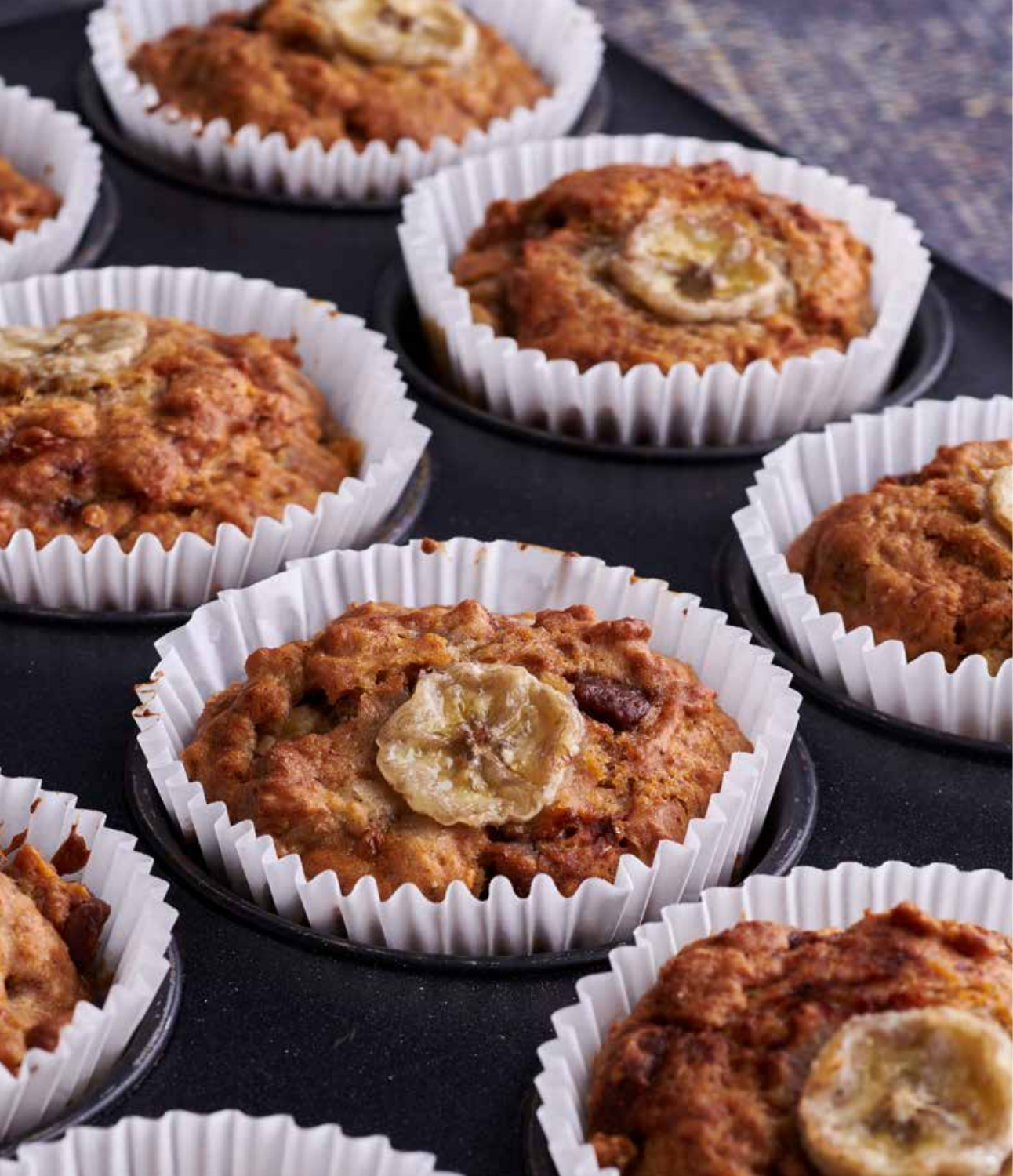